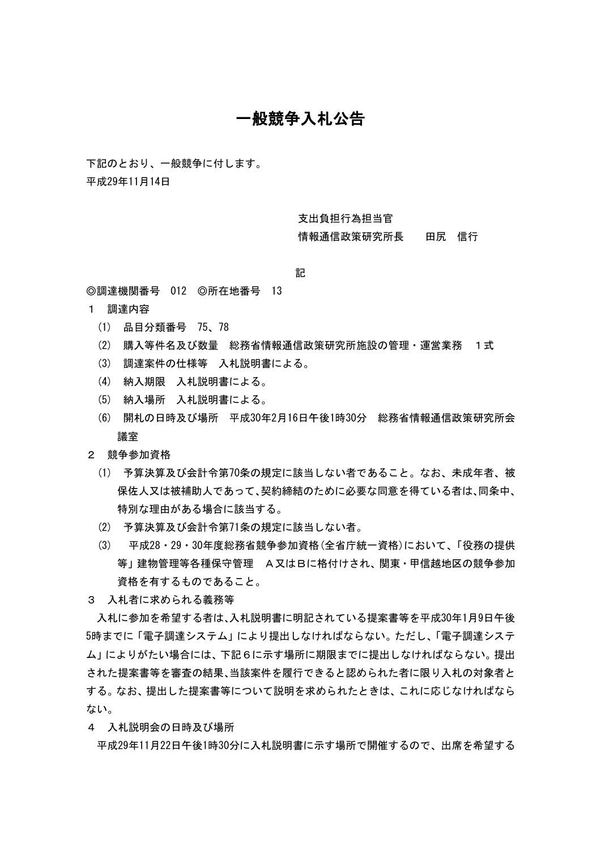## 一般競争入札公告

下記のとおり、一般競争に付します。

平成29年11月14日

支出負担行為担当官

情報通信政策研究所長 田尻 信行

記

◎調達機関番号 012 ◎所在地番号 13

- 1 調達内容
	- (1) 品目分類番号 75、78
	- (2) 購入等件名及び数量 総務省情報通信政策研究所施設の管理・運営業務 1式
	- (3) 調達案件の仕様等 入札説明書による。
	- (4) 納入期限 入札説明書による。
	- (5) 納入場所 入札説明書による。
	- (6) 開札の日時及び場所 平成30年2月16日午後1時30分 総務省情報通信政策研究所会 議室
- 2 競争参加資格
	- (1) 予算決算及び会計令第70条の規定に該当しない者であること。なお、未成年者、被 保佐人又は被補助人であって、契約締結のために必要な同意を得ている者は、同条中、 特別な理由がある場合に該当する。
	- (2) 予算決算及び会計令第71条の規定に該当しない者。
	- (3) 平成28・29・30年度総務省競争参加資格(全省庁統一資格)において、「役務の提供 等」建物管理等各種保守管理 A又はBに格付けされ、関東・甲信越地区の競争参加 資格を有するものであること。
- 3 入札者に求められる義務等

入札に参加を希望する者は、入札説明書に明記されている提案書等を平成30年1月9日午後 5時までに「電子調達システム」により提出しなければならない。ただし、「電子調達システ ム」によりがたい場合には、下記6に示す場所に期限までに提出しなければならない。提出 された提案書等を審査の結果、当該案件を履行できると認められた者に限り入札の対象者と する。なお、提出した提案書等について説明を求められたときは、これに応じなければなら ない。

4 入札説明会の日時及び場所

平成29年11月22日午後1時30分に入札説明書に示す場所で開催するので、出席を希望する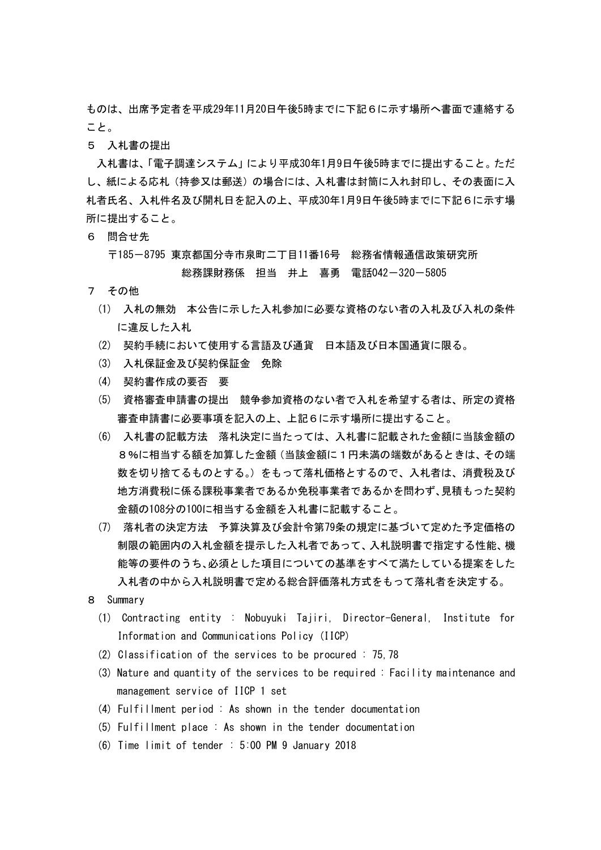ものは、出席予定者を平成29年11月20日午後5時までに下記6に示す場所へ書面で連絡する こと。

5 入札書の提出

入札書は、「電子調達システム」により平成30年1月9日午後5時までに提出すること。ただ し、紙による応札(持参又は郵送)の場合には、入札書は封筒に入れ封印し、その表面に入 札者氏名、入札件名及び開札日を記入の上、平成30年1月9日午後5時までに下記6に示す場 所に提出すること。

6 問合せ先

 〒185-8795 東京都国分寺市泉町二丁目11番16号 総務省情報通信政策研究所 総務課財務係 担当 井上 喜勇 電話042-320-5805

- 7 その他
	- (1) 入札の無効 本公告に示した入札参加に必要な資格のない者の入札及び入札の条件 に違反した入札
	- (2) 契約手続において使用する言語及び通貨 日本語及び日本国通貨に限る。
	- (3) 入札保証金及び契約保証金 免除
	- (4) 契約書作成の要否 要
	- (5) 資格審査申請書の提出 競争参加資格のない者で入札を希望する者は、所定の資格 審査申請書に必要事項を記入の上、上記6に示す場所に提出すること。
	- (6) 入札書の記載方法 落札決定に当たっては、入札書に記載された金額に当該金額の 8%に相当する額を加算した金額(当該金額に1円未満の端数があるときは、その端 数を切り捨てるものとする。)をもって落札価格とするので、入札者は、消費税及び 地方消費税に係る課税事業者であるか免税事業者であるかを問わず、見積もった契約 金額の108分の100に相当する金額を入札書に記載すること。
	- (7) 落札者の決定方法 予算決算及び会計令第79条の規定に基づいて定めた予定価格の 制限の範囲内の入札金額を提示した入札者であって、入札説明書で指定する性能、機 能等の要件のうち、必須とした項目についての基準をすべて満たしている提案をした 入札者の中から入札説明書で定める総合評価落札方式をもって落札者を決定する。
- 8 Summary
	- (1) Contracting entity : Nobuyuki Tajiri, Director-General, Institute for Information and Communications Policy (IICP)
	- (2) Classification of the services to be procured : 75,78
	- (3) Nature and quantity of the services to be required : Facility maintenance and management service of IICP 1 set
	- (4) Fulfillment period : As shown in the tender documentation
	- (5) Fulfillment place : As shown in the tender documentation
	- (6) Time limit of tender : 5:00 PM 9 January 2018